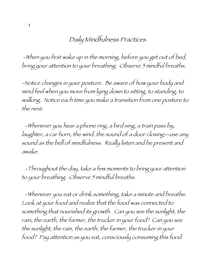## Daily Mindfulness Practices

-When you first wake up in the morning, before you get out of bed, bring your attention to your breathing. Observe 5 mindful breaths.

-Notice changes in your posture. Be aware of how your body and mind feel when you move from lying down to sitting, to standing, to walking. Notice each time you make a transition from one posture to the next.

-Whenever you hear a phone ring, a bird sing, a train pass by, laughter, a car horn, the wind, the sound of a door closing—use any sound as the bell of mindfulness. Really listen and be present and awake.

-Throughout the day, take a few moments to bring your attention to your breathing. Observe 5 mindful breaths.

-Whenever you eat or drink something, take a minute and breathe. Look at your food and realize that the food was connected to something that nourished its growth. Can you see the sunlight, the rain, the earth, the farmer, the trucker in your food? Can you see the sunlight, the rain, the earth, the farmer, the trucker in your food? Pay attention as you eat, consciously consuming this food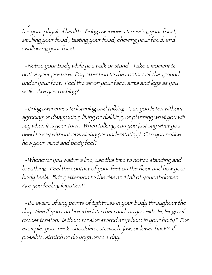2 for your physical health. Bring awareness to seeing your food, smelling your food , tasting your food, chewing your food, and swallowing your food.

-Notice your body while you walk or stand. Take a moment to notice your posture. Pay attention to the contact of the ground under your feet. Feel the air on your face, arms and legs as you walk. Are you rushing?

-Bring awareness to listening and talking. Can you listen without agreeing or disagreeing, liking or disliking, or planning what you will say when it is your turn? When talking, can you just say what you need to say without overstating or understating? Can you notice how your mind and body feel?

-Whenever you wait in a line, use this time to notice standing and breathing. Feel the contact of your feet on the floor and how your body feels. Bring attention to the rise and fall of your abdomen. Are you feeling impatient?

-Be aware of any points of tightness in your body throughout the day. See if you can breathe into them and, as you exhale, let go of excess tension. Is there tension stored anywhere in your body? For example, your neck, shoulders, stomach, jaw, or lower back? If possible, stretch or do yoga once a day.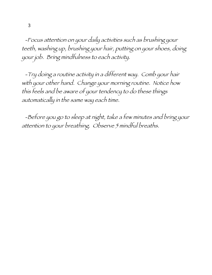-Focus attention on your daily activities such as brushing your teeth, washing up, brushing your hair, putting on your shoes, doing your job. Bring mindfulness to each activity.

-Try doing a routine activity in a different way. Comb your hair with your other hand. Change your morning routine. Notice how this feels and be aware of your tendency to do these things automatically in the same way each time.

-Before you go to sleep at night, take a few minutes and bring your attention to your breathing. Observe 5 mindful breaths.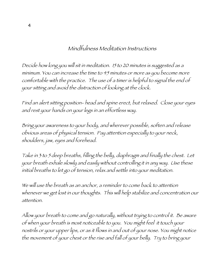## Mindfulness Meditation Instructions

Decide how long you will sit in meditation. 15 to 20 minutes is suggested as a minimum. You can increase the time to 45 minutes or more as you become more comfortable with the practice. The use of a timer is helpful to signal the end of your sitting and avoid the distraction of looking at the clock.

Find an alert sitting position- head and spine erect, but relaxed. Close your eyes and rest your hands on your legs in an effortless way.

Bring your awareness to your body, and wherever possible, soften and release obvious areas of physical tension. Pay attention especially to your neck, shoulders, jaw, eyes and forehead.

Take in 3 to 5 deep breaths, filling the belly, diaphragm and finally the chest. Let your breath exhale slowly and easily without controlling it in any way. Use these initial breaths to let go of tension, relax and settle into your meditation.

We will use the breath as an anchor, a reminder to come back to attention whenever we get lost in our thoughts. This will help stabilize and concentration our attention.

Allow your breath to come and go naturally, without trying to control it. Be aware of when your breath is most noticeable to you. You might feel it touch your nostrils or your upper lips, or as it flows in and out of your nose. You might notice the movement of your chest or the rise and fall of your belly. Try to bring your